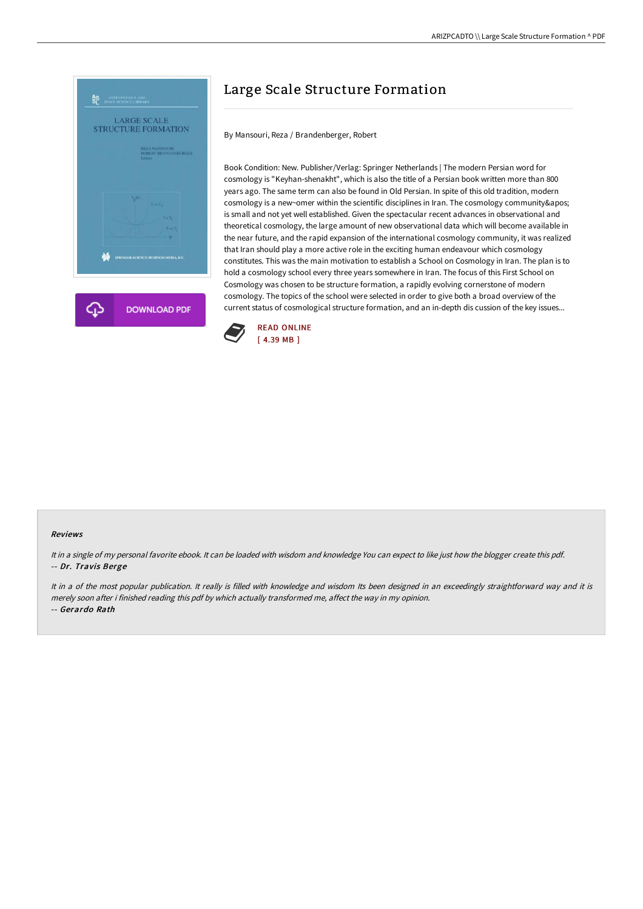

# Large Scale Structure Formation

By Mansouri, Reza / Brandenberger, Robert

Book Condition: New. Publisher/Verlag: Springer Netherlands | The modern Persian word for cosmology is "Keyhan-shenakht", which is also the title of a Persian book written more than 800 years ago. The same term can also be found in Old Persian. In spite of this old tradition, modern cosmology is a new~omer within the scientific disciplines in Iran. The cosmology community' is small and not yet well established. Given the spectacular recent advances in observational and theoretical cosmology, the large amount of new observational data which will become available in the near future, and the rapid expansion of the international cosmology community, it was realized that Iran should play a more active role in the exciting human endeavour which cosmology constitutes. This was the main motivation to establish a School on Cosmology in Iran. The plan is to hold a cosmology school every three years somewhere in Iran. The focus of this First School on Cosmology was chosen to be structure formation, a rapidly evolving cornerstone of modern cosmology. The topics of the school were selected in order to give both a broad overview of the current status of cosmological structure formation, and an in-depth dis cussion of the key issues...



#### Reviews

It in <sup>a</sup> single of my personal favorite ebook. It can be loaded with wisdom and knowledge You can expect to like just how the blogger create this pdf. -- Dr. Travis Berge

It in a of the most popular publication. It really is filled with knowledge and wisdom Its been designed in an exceedingly straightforward way and it is merely soon after i finished reading this pdf by which actually transformed me, affect the way in my opinion. -- Gerardo Rath